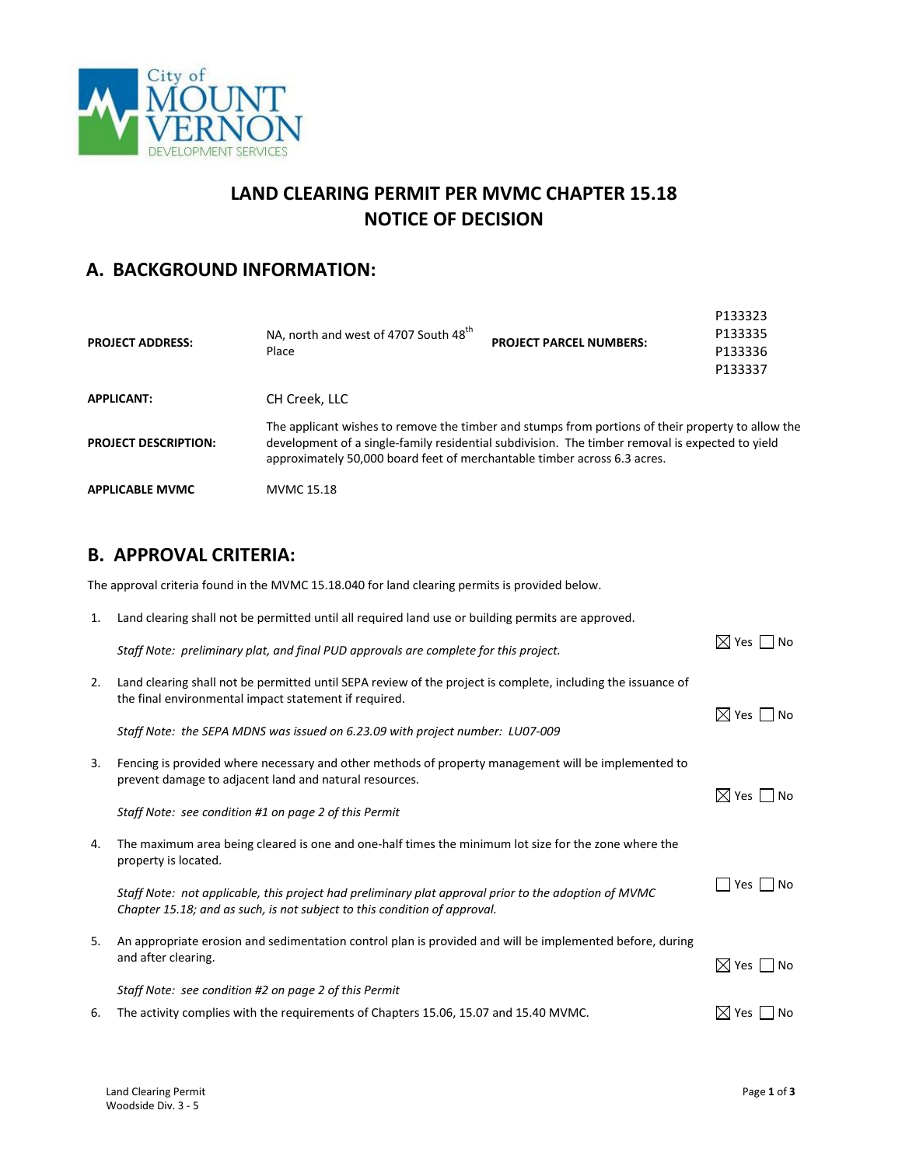

# **LAND CLEARING PERMIT PER MVMC CHAPTER 15.18 NOTICE OF DECISION**

# **A. BACKGROUND INFORMATION:**

| <b>PROJECT ADDRESS:</b>     | NA, north and west of 4707 South 48 <sup>th</sup><br>Place                                                                                                                                                                                                                       | <b>PROJECT PARCEL NUMBERS:</b> | P133335<br>P133336<br>P133337 |
|-----------------------------|----------------------------------------------------------------------------------------------------------------------------------------------------------------------------------------------------------------------------------------------------------------------------------|--------------------------------|-------------------------------|
| <b>APPLICANT:</b>           | CH Creek, LLC                                                                                                                                                                                                                                                                    |                                |                               |
| <b>PROJECT DESCRIPTION:</b> | The applicant wishes to remove the timber and stumps from portions of their property to allow the<br>development of a single-family residential subdivision. The timber removal is expected to yield<br>approximately 50,000 board feet of merchantable timber across 6.3 acres. |                                |                               |
| <b>APPLICABLE MVMC</b>      | MVMC 15.18                                                                                                                                                                                                                                                                       |                                |                               |

#### **B. APPROVAL CRITERIA:**

The approval criteria found in the MVMC 15.18.040 for land clearing permits is provided below.

| 1. | Land clearing shall not be permitted until all required land use or building permits are approved.                                                                                |                                      |  |
|----|-----------------------------------------------------------------------------------------------------------------------------------------------------------------------------------|--------------------------------------|--|
|    | Staff Note: preliminary plat, and final PUD approvals are complete for this project.                                                                                              | $\boxtimes$ Yes $\Box$ No            |  |
| 2. | Land clearing shall not be permitted until SEPA review of the project is complete, including the issuance of<br>the final environmental impact statement if required.             |                                      |  |
|    | Staff Note: the SEPA MDNS was issued on 6.23.09 with project number: LU07-009                                                                                                     | $\boxtimes$ Yes $\Box$ No            |  |
| 3. | Fencing is provided where necessary and other methods of property management will be implemented to<br>prevent damage to adjacent land and natural resources.                     | $\boxtimes$ Yes $\Box$ No            |  |
|    | Staff Note: see condition #1 on page 2 of this Permit                                                                                                                             |                                      |  |
| 4. | The maximum area being cleared is one and one-half times the minimum lot size for the zone where the<br>property is located.                                                      |                                      |  |
|    | Staff Note: not applicable, this project had preliminary plat approval prior to the adoption of MVMC<br>Chapter 15.18; and as such, is not subject to this condition of approval. | $\blacksquare$ Yes $\blacksquare$ No |  |
| 5. | An appropriate erosion and sedimentation control plan is provided and will be implemented before, during<br>and after clearing.                                                   | $\boxtimes$ Yes $\Box$ No            |  |
|    | Staff Note: see condition #2 on page 2 of this Permit                                                                                                                             |                                      |  |
| 6. | The activity complies with the requirements of Chapters 15.06, 15.07 and 15.40 MVMC.                                                                                              | $\boxtimes$ Yes    <br>No            |  |

P133323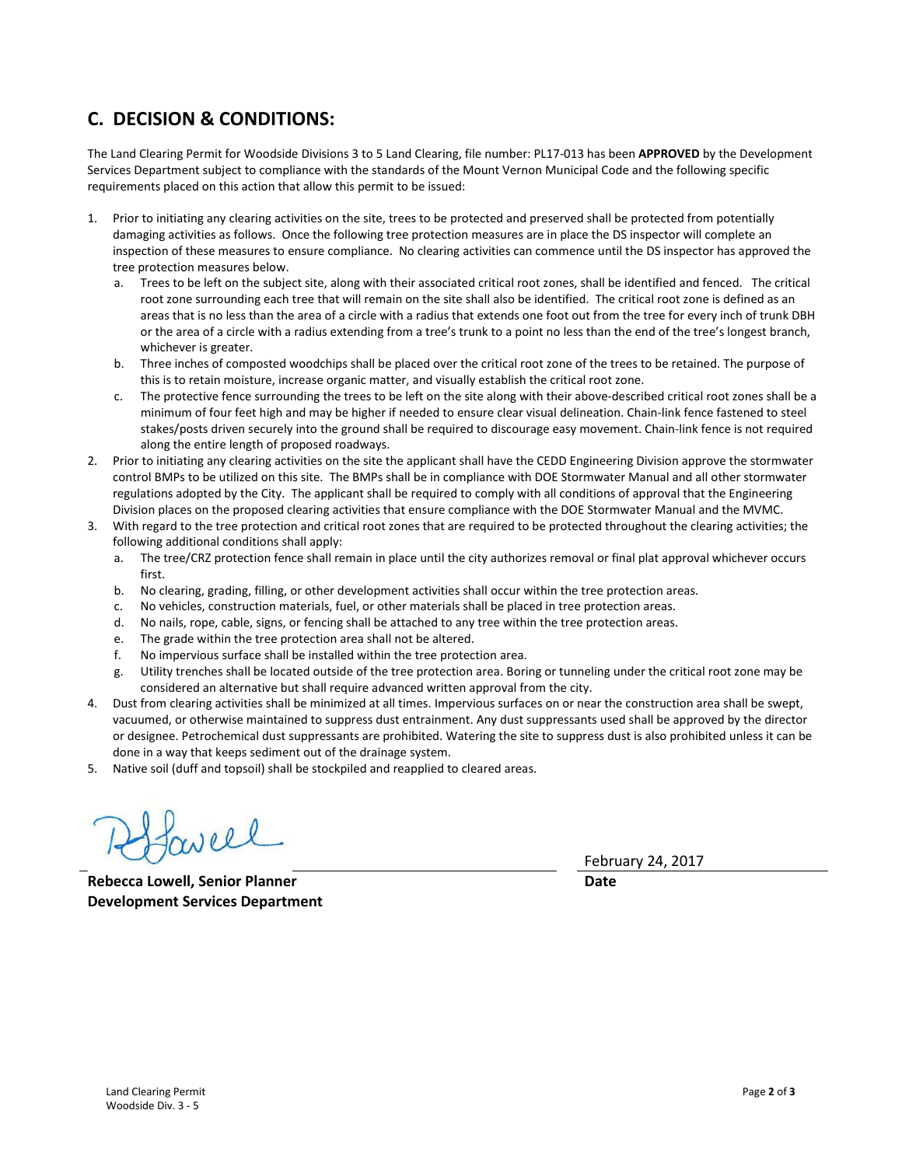### **C. DECISION & CONDITIONS:**

The Land Clearing Permit for Woodside Divisions 3 to 5 Land Clearing, file number: PL17-013 has been **APPROVED** by the Development Services Department subject to compliance with the standards of the Mount Vernon Municipal Code and the following specific requirements placed on this action that allow this permit to be issued:

- 1. Prior to initiating any clearing activities on the site, trees to be protected and preserved shall be protected from potentially damaging activities as follows. Once the following tree protection measures are in place the DS inspector will complete an inspection of these measures to ensure compliance. No clearing activities can commence until the DS inspector has approved the tree protection measures below.
	- a. Trees to be left on the subject site, along with their associated critical root zones, shall be identified and fenced. The critical root zone surrounding each tree that will remain on the site shall also be identified. The critical root zone is defined as an areas that is no less than the area of a circle with a radius that extends one foot out from the tree for every inch of trunk DBH or the area of a circle with a radius extending from a tree's trunk to a point no less than the end of the tree's longest branch, whichever is greater.
	- b. Three inches of composted woodchips shall be placed over the critical root zone of the trees to be retained. The purpose of this is to retain moisture, increase organic matter, and visually establish the critical root zone.
	- c. The protective fence surrounding the trees to be left on the site along with their above-described critical root zones shall be a minimum of four feet high and may be higher if needed to ensure clear visual delineation. Chain-link fence fastened to steel stakes/posts driven securely into the ground shall be required to discourage easy movement. Chain-link fence is not required along the entire length of proposed roadways.
- 2. Prior to initiating any clearing activities on the site the applicant shall have the CEDD Engineering Division approve the stormwater control BMPs to be utilized on this site. The BMPs shall be in compliance with DOE Stormwater Manual and all other stormwater regulations adopted by the City. The applicant shall be required to comply with all conditions of approval that the Engineering Division places on the proposed clearing activities that ensure compliance with the DOE Stormwater Manual and the MVMC.
- 3. With regard to the tree protection and critical root zones that are required to be protected throughout the clearing activities; the following additional conditions shall apply:
	- a. The tree/CRZ protection fence shall remain in place until the city authorizes removal or final plat approval whichever occurs first.
	- b. No clearing, grading, filling, or other development activities shall occur within the tree protection areas.
	- c. No vehicles, construction materials, fuel, or other materials shall be placed in tree protection areas.
	- d. No nails, rope, cable, signs, or fencing shall be attached to any tree within the tree protection areas.
	- e. The grade within the tree protection area shall not be altered.
	- f. No impervious surface shall be installed within the tree protection area.
	- g. Utility trenches shall be located outside of the tree protection area. Boring or tunneling under the critical root zone may be considered an alternative but shall require advanced written approval from the city.
- 4. Dust from clearing activities shall be minimized at all times. Impervious surfaces on or near the construction area shall be swept, vacuumed, or otherwise maintained to suppress dust entrainment. Any dust suppressants used shall be approved by the director or designee. Petrochemical dust suppressants are prohibited. Watering the site to suppress dust is also prohibited unless it can be done in a way that keeps sediment out of the drainage system.
- 5. Native soil (duff and topsoil) shall be stockpiled and reapplied to cleared areas.

aveel

**Rebecca Lowell, Senior Planner Development Services Department**

February 24, 2017

**Date**